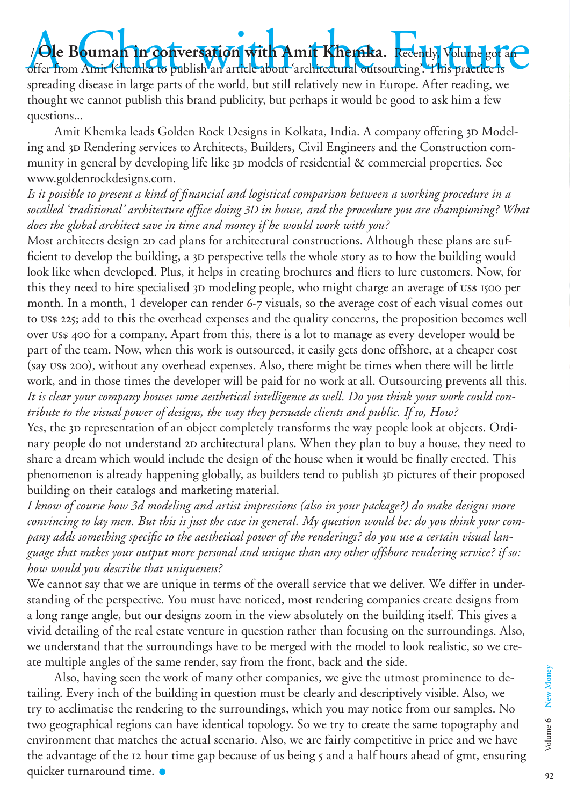Ole Bouman in Conversation with Amit Khemka. Recently, Volume got an offer from Amit Khemka to publish an article about 'architectural outsourcing'. This practice is spreading disease in large parts of the world, but still relatively new in Europe. After reading, we thought we cannot publish this brand publicity, but perhaps it would be good to ask him a few

questions... Amit Khemka leads Golden Rock Designs in Kolkata, India. A company offering 3D Modeling and 3D Rendering services to Architects, Builders, Civil Engineers and the Construction community in general by developing life like  $3D$  models of residential  $\&$  commercial properties. See www.goldenrockdesigns.com.

Is it possible to present a kind of financial and logistical comparison between a working procedure in a socalled 'traditional' architecture office doing 3D in house, and the procedure you are championing? What *does the global architect save in time and money if he would work with you?*

Most architects design 2D cad plans for architectural constructions. Although these plans are sufficient to develop the building, a 3D perspective tells the whole story as to how the building would look like when developed. Plus, it helps in creating brochures and fliers to lure customers. Now, for this they need to hire specialised 3D modeling people, who might charge an average of us\$ 1500 per month. In a month, 1 developer can render 6-7 visuals, so the average cost of each visual comes out to us\$ 225; add to this the overhead expenses and the quality concerns, the proposition becomes well over us\$ 400 for a company. Apart from this, there is a lot to manage as every developer would be part of the team. Now, when this work is outsourced, it easily gets done offshore, at a cheaper cost (say us\$ 200), without any overhead expenses. Also, there might be times when there will be little work, and in those times the developer will be paid for no work at all. Outsourcing prevents all this. *It is clear your company houses some aesthetical intelligence as well. Do you think your work could contribute to the visual power of designs, the way they persuade clients and public. If so, How?*

Yes, the 3D representation of an object completely transforms the way people look at objects. Ordinary people do not understand 2D architectural plans. When they plan to buy a house, they need to share a dream which would include the design of the house when it would be finally erected. This phenomenon is already happening globally, as builders tend to publish 3D pictures of their proposed building on their catalogs and marketing material.

*I know of course how 3d modeling and artist impressions (also in your package?) do make designs more convincing to lay men. But this is just the case in general. My question would be: do you think your com*pany adds something specific to the aesthetical power of the renderings? do you use a certain visual lan*guage that makes your output more personal and unique than any other offshore rendering service? if so: how would you describe that uniqueness?*

We cannot say that we are unique in terms of the overall service that we deliver. We differ in understanding of the perspective. You must have noticed, most rendering companies create designs from a long range angle, but our designs zoom in the view absolutely on the building itself. This gives a vivid detailing of the real estate venture in question rather than focusing on the surroundings. Also, we understand that the surroundings have to be merged with the model to look realistic, so we create multiple angles of the same render, say from the front, back and the side.

 Also, having seen the work of many other companies, we give the utmost prominence to detailing. Every inch of the building in question must be clearly and descriptively visible. Also, we try to acclimatise the rendering to the surroundings, which you may notice from our samples. No two geographical regions can have identical topology. So we try to create the same topography and environment that matches the actual scenario. Also, we are fairly competitive in price and we have the advantage of the 12 hour time gap because of us being 5 and a half hours ahead of gmt, ensuring quicker turnaround time.  $\bullet$ esth<br>2011<br>2012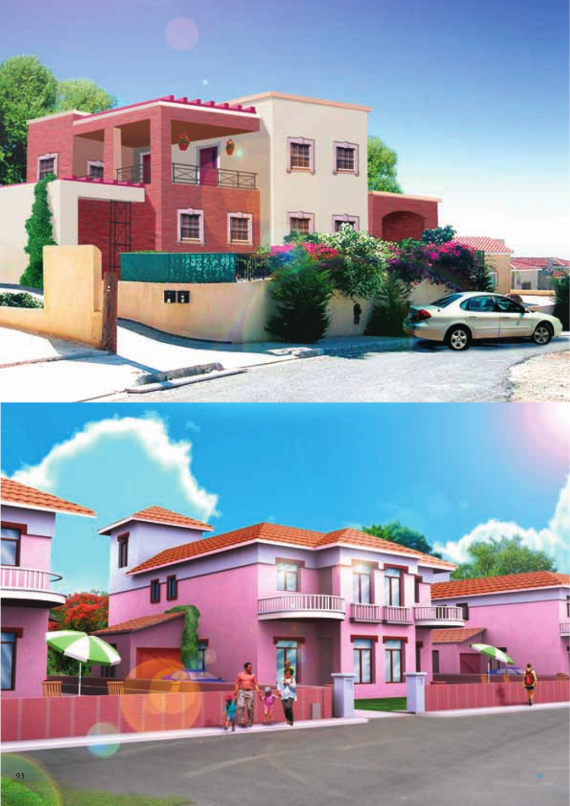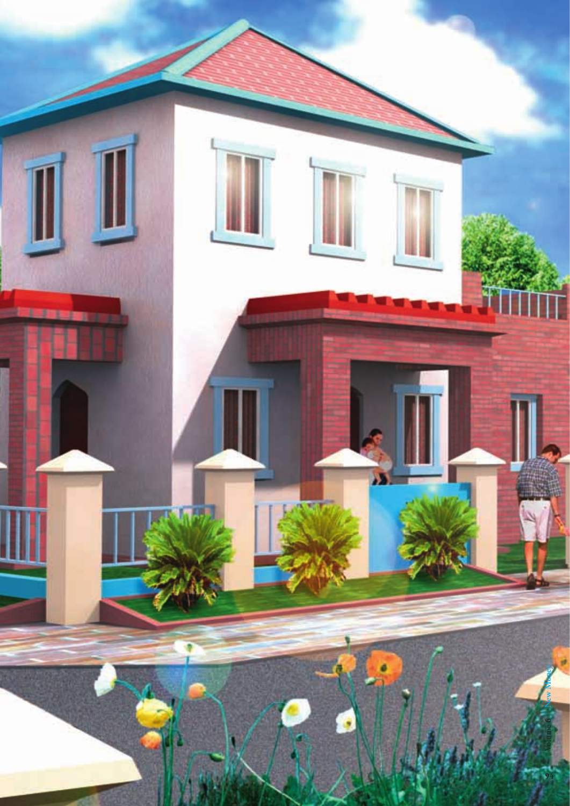